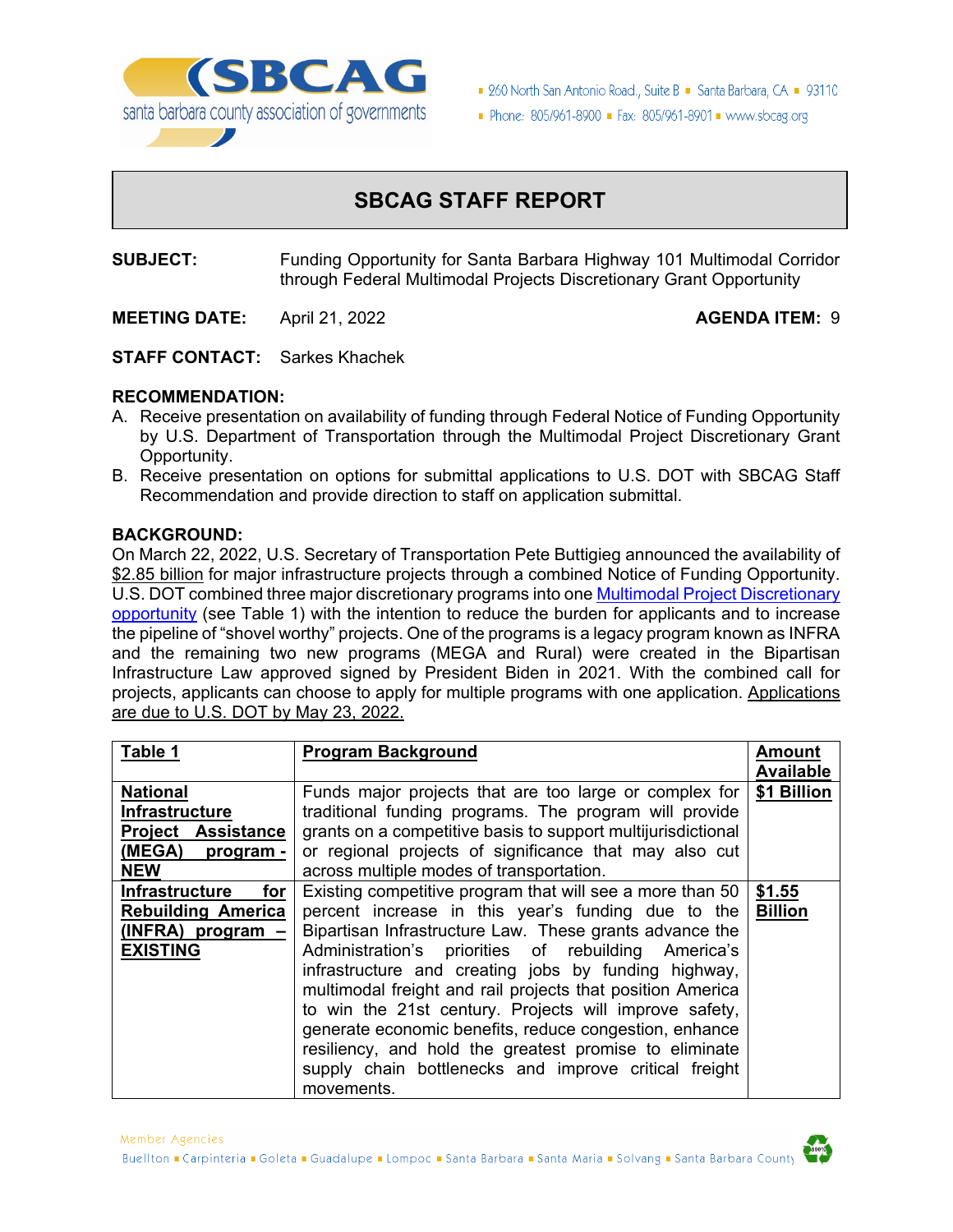

■ 260 North San Antonio Road., Suite B ■ Santa Barbara, CA ■ 93110

Phone: 805/961-8900 = Fax: 805/961-8901 = www.sbcag.org

# **SBCAG STAFF REPORT**

**SUBJECT:** Funding Opportunity for Santa Barbara Highway 101 Multimodal Corridor through Federal Multimodal Projects Discretionary Grant Opportunity

**MEETING DATE:** April 21, 2022 **AGENDA ITEM:** 9

**STAFF CONTACT:** Sarkes Khachek

### **RECOMMENDATION:**

- A. Receive presentation on availability of funding through Federal Notice of Funding Opportunity by U.S. Department of Transportation through the Multimodal Project Discretionary Grant Opportunity.
- B. Receive presentation on options for submittal applications to U.S. DOT with SBCAG Staff Recommendation and provide direction to staff on application submittal.

### **BACKGROUND:**

On March 22, 2022, U.S. Secretary of Transportation Pete Buttigieg announced the availability of \$2.85 billion for major infrastructure projects through a combined Notice of Funding Opportunity. U.S. DOT combined three major discretionary programs into on[e Multimodal Project Discretionary](https://www.transportation.gov/grants/mega-grant-program)  [opportunity](https://www.transportation.gov/grants/mega-grant-program) (see Table 1) with the intention to reduce the burden for applicants and to increase the pipeline of "shovel worthy" projects. One of the programs is a legacy program known as INFRA and the remaining two new programs (MEGA and Rural) were created in the Bipartisan Infrastructure Law approved signed by President Biden in 2021. With the combined call for projects, applicants can choose to apply for multiple programs with one application. Applications are due to U.S. DOT by May 23, 2022.

| Table 1                      | <b>Program Background</b>                                    | Amount           |
|------------------------------|--------------------------------------------------------------|------------------|
|                              |                                                              | <b>Available</b> |
| <b>National</b>              | Funds major projects that are too large or complex for       | \$1 Billion      |
| <b>Infrastructure</b>        | traditional funding programs. The program will provide       |                  |
| <b>Project Assistance</b>    | grants on a competitive basis to support multijurisdictional |                  |
| (MEGA) program -             | or regional projects of significance that may also cut       |                  |
| <b>NEW</b>                   | across multiple modes of transportation.                     |                  |
| <b>Infrastructure</b><br>for | Existing competitive program that will see a more than 50    | \$1.55           |
| <b>Rebuilding America</b>    | percent increase in this year's funding due to the           | <b>Billion</b>   |
| $(INFRA)$ program $-$        | Bipartisan Infrastructure Law. These grants advance the      |                  |
| <b>EXISTING</b>              | Administration's priorities of rebuilding America's          |                  |
|                              | infrastructure and creating jobs by funding highway,         |                  |
|                              | multimodal freight and rail projects that position America   |                  |
|                              | to win the 21st century. Projects will improve safety,       |                  |
|                              | generate economic benefits, reduce congestion, enhance       |                  |
|                              | resiliency, and hold the greatest promise to eliminate       |                  |
|                              | supply chain bottlenecks and improve critical freight        |                  |
|                              | movements.                                                   |                  |